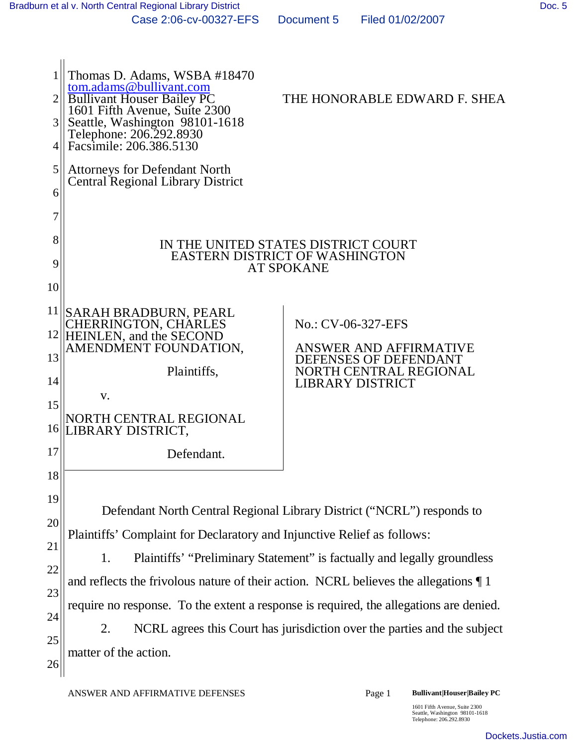| 3<br>4   | Thomas D. Adams, WSBA #18470<br>tom.adams@bullivant.com<br><b>Bullivant Houser Bailey PC</b><br>1601 Fifth Avenue, Suite 2300<br>Seattle, Washington 98101-1618<br>Telephone: 206.292.8930<br>Facsimile: 206.386.5130 | THE HONORABLE EDWARD F. SHEA                                                                      |  |
|----------|-----------------------------------------------------------------------------------------------------------------------------------------------------------------------------------------------------------------------|---------------------------------------------------------------------------------------------------|--|
| 5<br>6   | <b>Attorneys for Defendant North</b><br><b>Central Regional Library District</b>                                                                                                                                      |                                                                                                   |  |
| 7        |                                                                                                                                                                                                                       |                                                                                                   |  |
| 8<br>9   |                                                                                                                                                                                                                       | IN THE UNITED STATES DISTRICT COURT<br><b>EASTERN DISTRICT OF WASHINGTON</b><br><b>AT SPOKANE</b> |  |
| 10       |                                                                                                                                                                                                                       |                                                                                                   |  |
| 11       | <b>SARAH BRADBURN, PEARL</b>                                                                                                                                                                                          |                                                                                                   |  |
| 12       | CHERRINGTON, CHARLES<br>HEINLEN, and the SECOND<br>AMENDMENT FOUNDATION,                                                                                                                                              | No.: CV-06-327-EFS<br>ANSWER AND AFFIRMATIVE                                                      |  |
| 13<br>14 | Plaintiffs,                                                                                                                                                                                                           | DEFENSES OF DEFENDANT<br>NORTH CENTRAL REGIONAL<br><b>LIBRARY DISTRICT</b>                        |  |
| 15<br>16 | V.<br>NORTH CENTRAL REGIONAL<br>LIBRARY DISTRICT,                                                                                                                                                                     |                                                                                                   |  |
| 17       | Defendant.                                                                                                                                                                                                            |                                                                                                   |  |
| 18       |                                                                                                                                                                                                                       |                                                                                                   |  |
| 19       |                                                                                                                                                                                                                       | Defendant North Central Regional Library District ("NCRL") responds to                            |  |
| 20       | Plaintiffs' Complaint for Declaratory and Injunctive Relief as follows:                                                                                                                                               |                                                                                                   |  |
| 21       | 1.                                                                                                                                                                                                                    | Plaintiffs' "Preliminary Statement" is factually and legally groundless                           |  |
| 22<br>23 | and reflects the frivolous nature of their action. NCRL believes the allegations $\P$ 1                                                                                                                               |                                                                                                   |  |
| 24       | require no response. To the extent a response is required, the allegations are denied.                                                                                                                                |                                                                                                   |  |
| 25       | 2.                                                                                                                                                                                                                    | NCRL agrees this Court has jurisdiction over the parties and the subject                          |  |
| 26       | matter of the action.                                                                                                                                                                                                 |                                                                                                   |  |

1601 Fifth Avenue, Suite 2300 Seattle, Washington 98101-1618 Telephone: 206.292.8930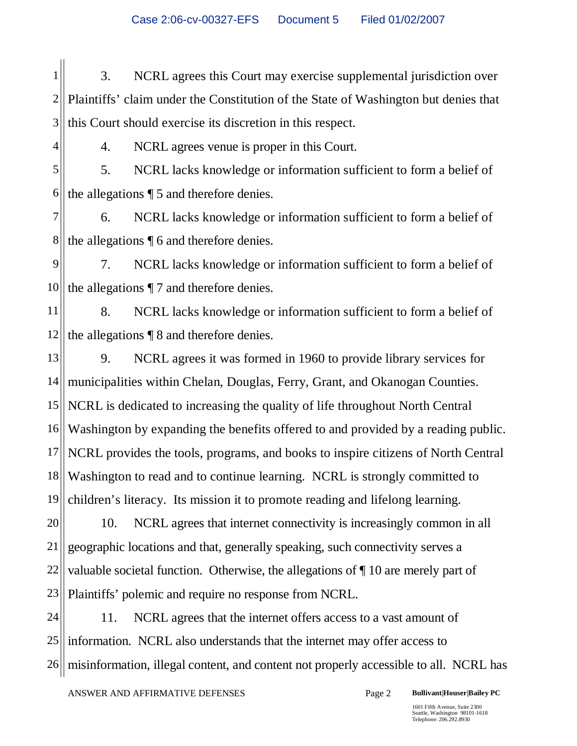Case 2:06-cv-00327-EFS Document 5 Filed 01/02/2007

1 2 3 3. NCRL agrees this Court may exercise supplemental jurisdiction over Plaintiffs' claim under the Constitution of the State of Washington but denies that this Court should exercise its discretion in this respect.

4. NCRL agrees venue is proper in this Court.

4

5 6 5. NCRL lacks knowledge or information sufficient to form a belief of the allegations ¶ 5 and therefore denies.

7 8 6. NCRL lacks knowledge or information sufficient to form a belief of the allegations ¶ 6 and therefore denies.

9 10 7. NCRL lacks knowledge or information sufficient to form a belief of the allegations ¶ 7 and therefore denies.

11 12 8. NCRL lacks knowledge or information sufficient to form a belief of the allegations ¶ 8 and therefore denies.

13 14 15 16 17 18 19 9. NCRL agrees it was formed in 1960 to provide library services for municipalities within Chelan, Douglas, Ferry, Grant, and Okanogan Counties. NCRL is dedicated to increasing the quality of life throughout North Central Washington by expanding the benefits offered to and provided by a reading public. NCRL provides the tools, programs, and books to inspire citizens of North Central Washington to read and to continue learning. NCRL is strongly committed to children's literacy. Its mission it to promote reading and lifelong learning.

20 21 22 23 10. NCRL agrees that internet connectivity is increasingly common in all geographic locations and that, generally speaking, such connectivity serves a valuable societal function. Otherwise, the allegations of ¶ 10 are merely part of Plaintiffs' polemic and require no response from NCRL.

24 25 26 11. NCRL agrees that the internet offers access to a vast amount of information. NCRL also understands that the internet may offer access to misinformation, illegal content, and content not properly accessible to all. NCRL has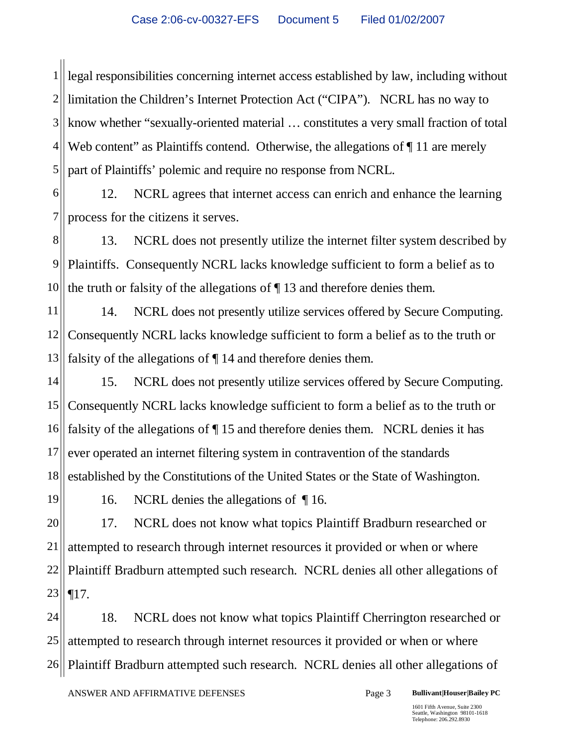1  $2\parallel$ 3 4 5 legal responsibilities concerning internet access established by law, including without limitation the Children's Internet Protection Act ("CIPA"). NCRL has no way to know whether "sexually-oriented material … constitutes a very small fraction of total Web content" as Plaintiffs contend. Otherwise, the allegations of  $\P$  11 are merely part of Plaintiffs' polemic and require no response from NCRL.

6 7 12. NCRL agrees that internet access can enrich and enhance the learning process for the citizens it serves.

8 9 10 13. NCRL does not presently utilize the internet filter system described by Plaintiffs. Consequently NCRL lacks knowledge sufficient to form a belief as to the truth or falsity of the allegations of ¶ 13 and therefore denies them.

11 12 13 14. NCRL does not presently utilize services offered by Secure Computing. Consequently NCRL lacks knowledge sufficient to form a belief as to the truth or falsity of the allegations of ¶ 14 and therefore denies them.

14 15 16 17 18 15. NCRL does not presently utilize services offered by Secure Computing. Consequently NCRL lacks knowledge sufficient to form a belief as to the truth or falsity of the allegations of ¶ 15 and therefore denies them. NCRL denies it has ever operated an internet filtering system in contravention of the standards established by the Constitutions of the United States or the State of Washington.

16. NCRL denies the allegations of ¶ 16.

19

20 21 22 23 17. NCRL does not know what topics Plaintiff Bradburn researched or attempted to research through internet resources it provided or when or where Plaintiff Bradburn attempted such research. NCRL denies all other allegations of ¶17.

24 25 26 18. NCRL does not know what topics Plaintiff Cherrington researched or attempted to research through internet resources it provided or when or where Plaintiff Bradburn attempted such research. NCRL denies all other allegations of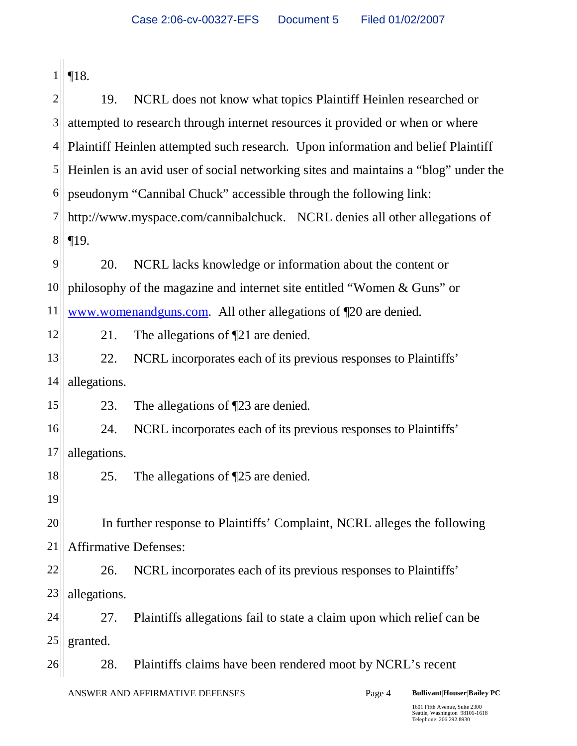|                | $\P 18.$                                                                   |                                                                                     |  |
|----------------|----------------------------------------------------------------------------|-------------------------------------------------------------------------------------|--|
| $\overline{2}$ | 19.                                                                        | NCRL does not know what topics Plaintiff Heinlen researched or                      |  |
| 3              |                                                                            | attempted to research through internet resources it provided or when or where       |  |
| $\overline{4}$ |                                                                            | Plaintiff Heinlen attempted such research. Upon information and belief Plaintiff    |  |
| 5              |                                                                            | Heinlen is an avid user of social networking sites and maintains a "blog" under the |  |
| 6              |                                                                            | pseudonym "Cannibal Chuck" accessible through the following link:                   |  |
| 7              | http://www.myspace.com/cannibalchuck. NCRL denies all other allegations of |                                                                                     |  |
| 8              | $\P19.$                                                                    |                                                                                     |  |
| 9              | 20.                                                                        | NCRL lacks knowledge or information about the content or                            |  |
| 10             |                                                                            | philosophy of the magazine and internet site entitled "Women & Guns" or             |  |
| 11             |                                                                            | www.womenandguns.com. All other allegations of 120 are denied.                      |  |
| 12             | 21.                                                                        | The allegations of $\P$ 21 are denied.                                              |  |
| 13             | 22.                                                                        | NCRL incorporates each of its previous responses to Plaintiffs'                     |  |
| 14             | allegations.                                                               |                                                                                     |  |
| 15             | 23.                                                                        | The allegations of $\square$ 23 are denied.                                         |  |
| 16             | 24.                                                                        | NCRL incorporates each of its previous responses to Plaintiffs'                     |  |
| 17             | allegations.                                                               |                                                                                     |  |
| 18             | 25.                                                                        | The allegations of $\P$ 25 are denied.                                              |  |
| 19             |                                                                            |                                                                                     |  |
| 20             |                                                                            | In further response to Plaintiffs' Complaint, NCRL alleges the following            |  |
| 21             | <b>Affirmative Defenses:</b>                                               |                                                                                     |  |
| 22             | 26.                                                                        | NCRL incorporates each of its previous responses to Plaintiffs'                     |  |
| 23             | allegations.                                                               |                                                                                     |  |
| 24             | 27.                                                                        | Plaintiffs allegations fail to state a claim upon which relief can be               |  |
| 25             | granted.                                                                   |                                                                                     |  |
| 26             | 28.                                                                        | Plaintiffs claims have been rendered moot by NCRL's recent                          |  |
|                |                                                                            | ANSWER AND AFFIRMATIVE DEFENSES<br><b>Bullivant Houser Bailey PC</b><br>Page 4      |  |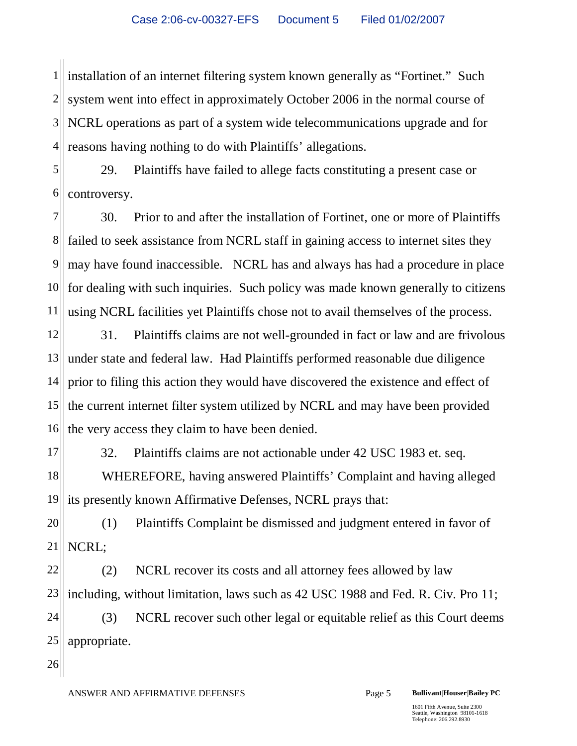1 2 3 4 installation of an internet filtering system known generally as "Fortinet." Such system went into effect in approximately October 2006 in the normal course of NCRL operations as part of a system wide telecommunications upgrade and for reasons having nothing to do with Plaintiffs' allegations.

5 6 29. Plaintiffs have failed to allege facts constituting a present case or controversy.

7 8 9 10 11 30. Prior to and after the installation of Fortinet, one or more of Plaintiffs failed to seek assistance from NCRL staff in gaining access to internet sites they may have found inaccessible. NCRL has and always has had a procedure in place for dealing with such inquiries. Such policy was made known generally to citizens using NCRL facilities yet Plaintiffs chose not to avail themselves of the process.

12 13 14 15 16 31. Plaintiffs claims are not well-grounded in fact or law and are frivolous under state and federal law. Had Plaintiffs performed reasonable due diligence prior to filing this action they would have discovered the existence and effect of the current internet filter system utilized by NCRL and may have been provided the very access they claim to have been denied.

17 18 19 32. Plaintiffs claims are not actionable under 42 USC 1983 et. seq. WHEREFORE, having answered Plaintiffs' Complaint and having alleged its presently known Affirmative Defenses, NCRL prays that:

20 21 (1) Plaintiffs Complaint be dismissed and judgment entered in favor of NCRL;

22 23 (2) NCRL recover its costs and all attorney fees allowed by law including, without limitation, laws such as 42 USC 1988 and Fed. R. Civ. Pro 11;

24 25 (3) NCRL recover such other legal or equitable relief as this Court deems appropriate.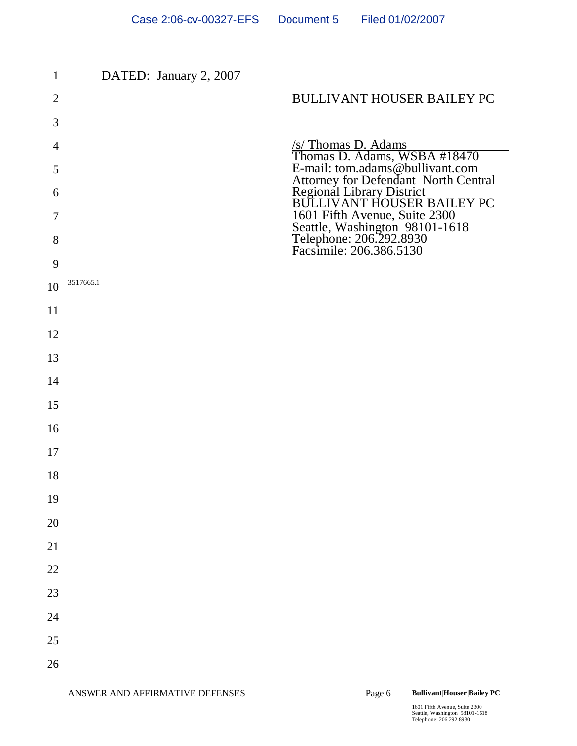